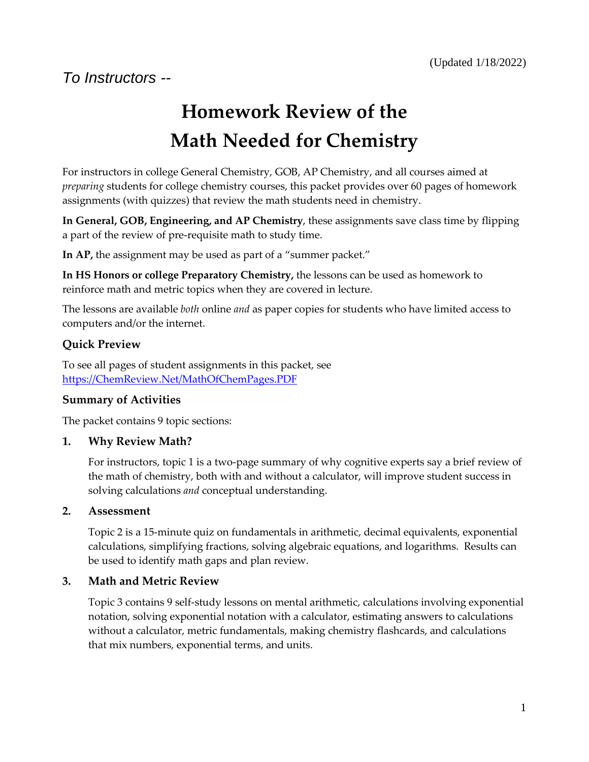# **Homework Review of the Math Needed for Chemistry**

For instructors in college General Chemistry, GOB, AP Chemistry, and all courses aimed at *preparing* students for college chemistry courses, this packet provides over 60 pages of homework assignments (with quizzes) that review the math students need in chemistry.

**In General, GOB, Engineering, and AP Chemistry**, these assignments save class time by flipping a part of the review of pre-requisite math to study time.

**In AP,** the assignment may be used as part of a "summer packet."

**In HS Honors or college Preparatory Chemistry,** the lessons can be used as homework to reinforce math and metric topics when they are covered in lecture.

The lessons are available *both* online *and* as paper copies for students who have limited access to computers and/or the internet.

#### **Quick Preview**

To see all pages of student assignments in this packet, see [https://ChemReview.Net/MathOfChemPages.PDF](https://chemreview.net/MathOfChemPages.PDF)

#### **Summary of Activities**

The packet contains 9 topic sections:

#### **1. Why Review Math?**

For instructors, topic 1 is a two-page summary of why cognitive experts say a brief review of the math of chemistry, both with and without a calculator, will improve student success in solving calculations *and* conceptual understanding.

#### **2. Assessment**

Topic 2 is a 15-minute quiz on fundamentals in arithmetic, decimal equivalents, exponential calculations, simplifying fractions, solving algebraic equations, and logarithms. Results can be used to identify math gaps and plan review.

#### **3. Math and Metric Review**

Topic 3 contains 9 self-study lessons on mental arithmetic, calculations involving exponential notation, solving exponential notation with a calculator, estimating answers to calculations without a calculator, metric fundamentals, making chemistry flashcards, and calculations that mix numbers, exponential terms, and units.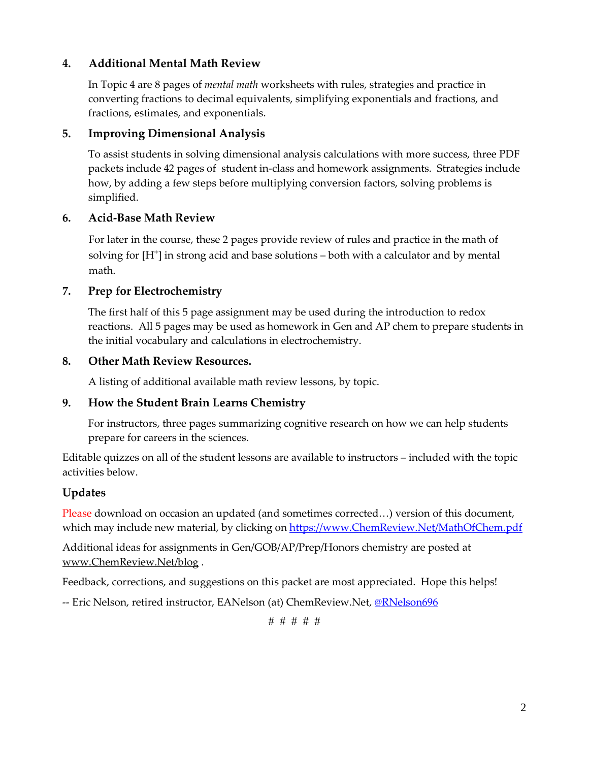#### **4. Additional Mental Math Review**

In Topic 4 are 8 pages of *mental math* worksheets with rules, strategies and practice in converting fractions to decimal equivalents, simplifying exponentials and fractions, and fractions, estimates, and exponentials.

#### **5. Improving Dimensional Analysis**

To assist students in solving dimensional analysis calculations with more success, three PDF packets include 42 pages of student in-class and homework assignments. Strategies include how, by adding a few steps before multiplying conversion factors, solving problems is simplified.

#### **6. Acid-Base Math Review**

For later in the course, these 2 pages provide review of rules and practice in the math of solving for  $[H^+]$  in strong acid and base solutions  $-$  both with a calculator and by mental math.

#### **7. Prep for Electrochemistry**

The first half of this 5 page assignment may be used during the introduction to redox reactions. All 5 pages may be used as homework in Gen and AP chem to prepare students in the initial vocabulary and calculations in electrochemistry.

#### **8. Other Math Review Resources.**

A listing of additional available math review lessons, by topic.

#### **9. How the Student Brain Learns Chemistry**

For instructors, three pages summarizing cognitive research on how we can help students prepare for careers in the sciences.

Editable quizzes on all of the student lessons are available to instructors – included with the topic activities below.

#### **Updates**

Please download on occasion an updated (and sometimes corrected...) version of this document, which may include new material, by clicking on [https://www.ChemReview.Net/MathOfChem.pdf](https://www.chemreview.net/MathOfChem.pdf)

Additional ideas for assignments in Gen/GOB/AP/Prep/Honors chemistry are posted at [www.ChemReview.Net/blog](http://www.chemreview.net/blog) .

Feedback, corrections, and suggestions on this packet are most appreciated. Hope this helps!

-- Eric Nelson, retired instructor, EANelson (at) ChemReview.Net, @RNelson696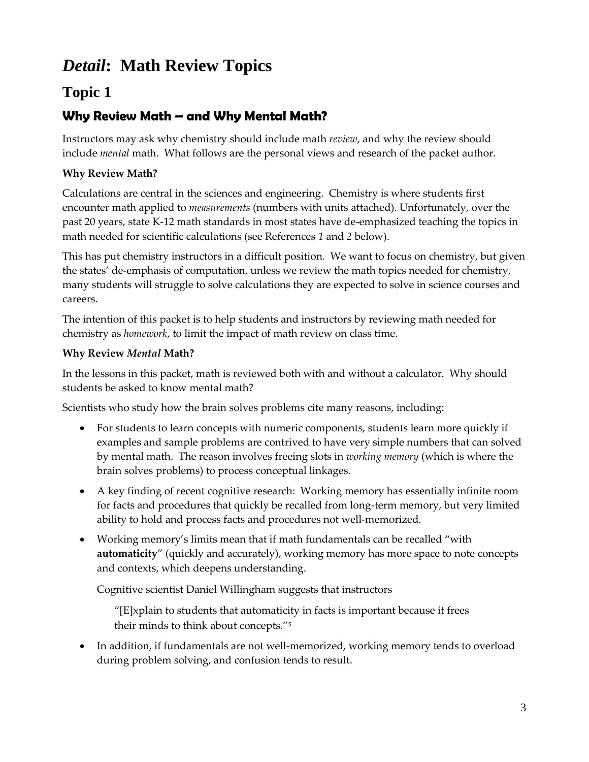## *Detail***: Math Review Topics**

## **Topic 1**

## **Why Review Math – and Why Mental Math?**

Instructors may ask why chemistry should include math *review*, and why the review should include *mental* math. What follows are the personal views and research of the packet author.

#### **Why Review Math?**

Calculations are central in the sciences and engineering. Chemistry is where students first encounter math applied to *measurements* (numbers with units attached). Unfortunately, over the past 20 years, state K-12 math standards in most states have de-emphasized teaching the topics in math needed for scientific calculations (see References *1* and *2* below).

This has put chemistry instructors in a difficult position. We want to focus on chemistry, but given the states' de-emphasis of computation, unless we review the math topics needed for chemistry, many students will struggle to solve calculations they are expected to solve in science courses and careers.

The intention of this packet is to help students and instructors by reviewing math needed for chemistry as *homework*, to limit the impact of math review on class time.

#### **Why Review** *Mental* **Math?**

In the lessons in this packet, math is reviewed both with and without a calculator. Why should students be asked to know mental math?

Scientists who study how the brain solves problems cite many reasons, including:

- For students to learn concepts with numeric components, students learn more quickly if examples and sample problems are contrived to have very simple numbers that can solved by mental math. The reason involves freeing slots in *working memory* (which is where the brain solves problems) to process conceptual linkages.
- A key finding of recent cognitive research: Working memory has essentially infinite room for facts and procedures that quickly be recalled from long-term memory, but very limited ability to hold and process facts and procedures not well-memorized.
- Working memory's limits mean that if math fundamentals can be recalled "with **automaticity**" (quickly and accurately), working memory has more space to note concepts and contexts, which deepens understanding.

Cognitive scientist Daniel Willingham suggests that instructors

"[E]xplain to students that automaticity in facts is important because it frees their minds to think about concepts."<sup>5</sup>

• In addition, if fundamentals are not well-memorized, working memory tends to overload during problem solving, and confusion tends to result.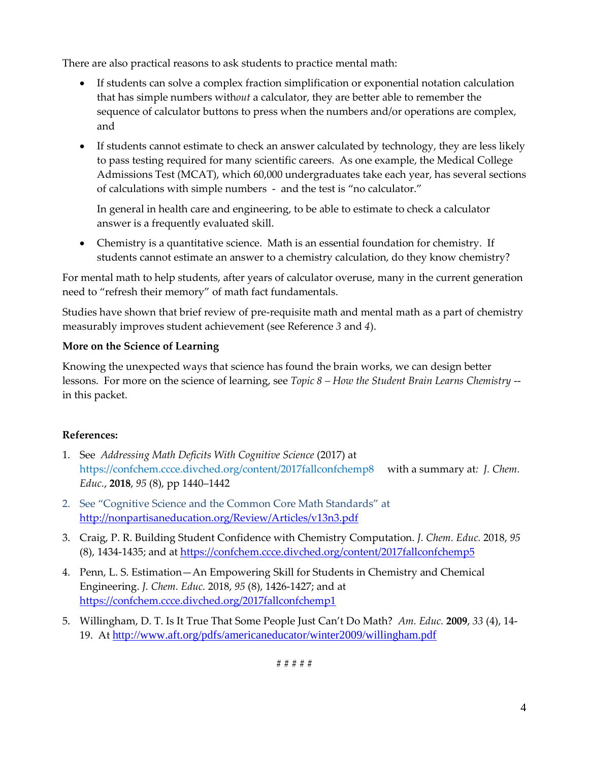There are also practical reasons to ask students to practice mental math:

- If students can solve a complex fraction simplification or exponential notation calculation that has simple numbers with*out* a calculator, they are better able to remember the sequence of calculator buttons to press when the numbers and/or operations are complex, and
- If students cannot estimate to check an answer calculated by technology, they are less likely to pass testing required for many scientific careers. As one example, the Medical College Admissions Test (MCAT), which 60,000 undergraduates take each year, has several sections of calculations with simple numbers - and the test is "no calculator."

In general in health care and engineering, to be able to estimate to check a calculator answer is a frequently evaluated skill.

• Chemistry is a quantitative science. Math is an essential foundation for chemistry. If students cannot estimate an answer to a chemistry calculation, do they know chemistry?

For mental math to help students, after years of calculator overuse, many in the current generation need to "refresh their memory" of math fact fundamentals.

Studies have shown that brief review of pre-requisite math and mental math as a part of chemistry measurably improves student achievement (see Reference *3* and *4*).

#### **More on the Science of Learning**

Knowing the unexpected ways that science has found the brain works, we can design better lessons. For more on the science of learning, see *Topic 8 – How the Student Brain Learns Chemistry* - in this packet.

#### **References:**

- 1. See *Addressing Math Deficits With Cognitive Science* (2017) at <https://confchem.ccce.divched.org/content/2017fallconfchemp8> with a summary at*: J. Chem. Educ.*, **2018**, *95* (8), pp 1440–1442
- 2. See "Cognitive Science and the Common Core Math Standards" at <http://nonpartisaneducation.org/Review/Articles/v13n3.pdf>
- 3. Craig, P. R. Building Student Confidence with Chemistry Computation. *J. Chem. Educ.* 2018, *95* (8), 1434-1435; and at<https://confchem.ccce.divched.org/content/2017fallconfchemp5>
- 4. Penn, L. S. Estimation—An Empowering Skill for Students in Chemistry and Chemical Engineering. *J. Chem. Educ.* 2018, *95* (8), 1426-1427; and at <https://confchem.ccce.divched.org/2017fallconfchemp1>
- 5. Willingham, D. T. Is It True That Some People Just Can't Do Math? *Am. Educ.* **2009**, *33* (4), 14- 19. At <http://www.aft.org/pdfs/americaneducator/winter2009/willingham.pdf>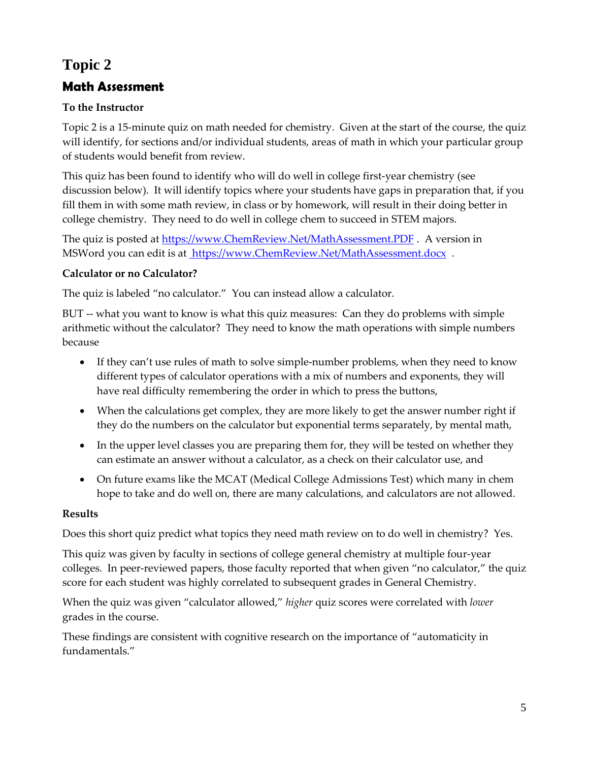## **Topic 2**

## **Math Assessment**

#### **To the Instructor**

Topic 2 is a 15-minute quiz on math needed for chemistry. Given at the start of the course, the quiz will identify, for sections and/or individual students, areas of math in which your particular group of students would benefit from review.

This quiz has been found to identify who will do well in college first-year chemistry (see discussion below). It will identify topics where your students have gaps in preparation that, if you fill them in with some math review, in class or by homework, will result in their doing better in college chemistry. They need to do well in college chem to succeed in STEM majors.

The quiz is posted at [https://www.ChemReview.Net/MathAssessment.PDF](https://www.chemreview.net/MathAssessment.PDF) . A version in MSWord you can edit is at [https://www.ChemReview.Net/MathAssessment.docx](https://www.chemreview.net/MathAssessment.docx) .

#### **Calculator or no Calculator?**

The quiz is labeled "no calculator." You can instead allow a calculator.

BUT -- what you want to know is what this quiz measures: Can they do problems with simple arithmetic without the calculator? They need to know the math operations with simple numbers because

- If they can't use rules of math to solve simple-number problems, when they need to know different types of calculator operations with a mix of numbers and exponents, they will have real difficulty remembering the order in which to press the buttons,
- When the calculations get complex, they are more likely to get the answer number right if they do the numbers on the calculator but exponential terms separately, by mental math,
- In the upper level classes you are preparing them for, they will be tested on whether they can estimate an answer without a calculator, as a check on their calculator use, and
- On future exams like the MCAT (Medical College Admissions Test) which many in chem hope to take and do well on, there are many calculations, and calculators are not allowed.

#### **Results**

Does this short quiz predict what topics they need math review on to do well in chemistry? Yes.

This quiz was given by faculty in sections of college general chemistry at multiple four-year colleges. In peer-reviewed papers, those faculty reported that when given "no calculator," the quiz score for each student was highly correlated to subsequent grades in General Chemistry.

When the quiz was given "calculator allowed," *higher* quiz scores were correlated with *lower* grades in the course.

These findings are consistent with cognitive research on the importance of "automaticity in fundamentals."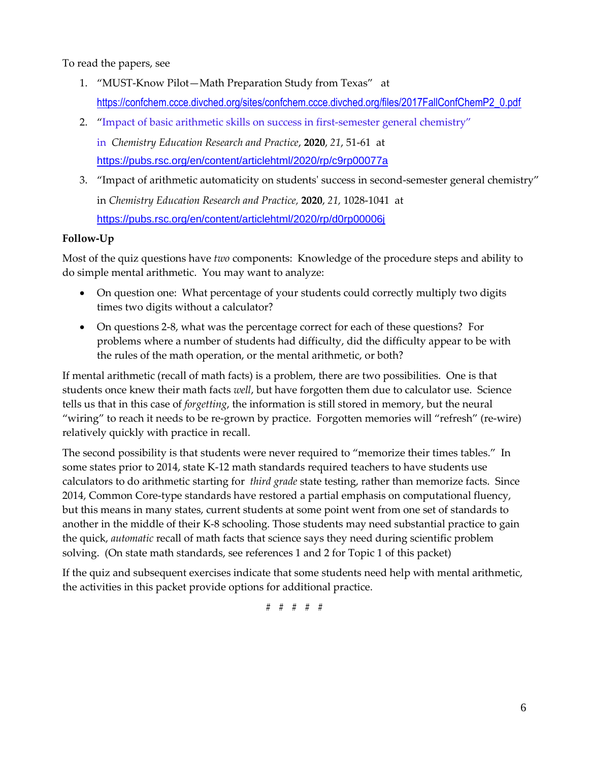To read the papers, see

- 1. "MUST-Know Pilot—Math Preparation Study from Texas"at [https://confchem.ccce.divched.org/sites/confchem.ccce.divched.org/files/2017FallConfChemP2\\_0.pdf](https://confchem.ccce.divched.org/sites/confchem.ccce.divched.org/files/2017FallConfChemP2_0.pdf)
- 2. "Impact of basic arithmetic skills on success in first-semester general chemistry" in *Chemistry Education Research and Practice*, **2020**, *21*, 51-61 at <https://pubs.rsc.org/en/content/articlehtml/2020/rp/c9rp00077a>
- 3. "Impact of arithmetic automaticity on students' success in second-semester general chemistry" in *Chemistry Education Research and Practice,* **2020**, *21,* 1028-1041 at <https://pubs.rsc.org/en/content/articlehtml/2020/rp/d0rp00006j>

#### **Follow-Up**

Most of the quiz questions have *two* components: Knowledge of the procedure steps and ability to do simple mental arithmetic. You may want to analyze:

- On question one: What percentage of your students could correctly multiply two digits times two digits without a calculator?
- On questions 2-8, what was the percentage correct for each of these questions? For problems where a number of students had difficulty, did the difficulty appear to be with the rules of the math operation, or the mental arithmetic, or both?

If mental arithmetic (recall of math facts) is a problem, there are two possibilities. One is that students once knew their math facts *well*, but have forgotten them due to calculator use. Science tells us that in this case of *forgetting*, the information is still stored in memory, but the neural "wiring" to reach it needs to be re-grown by practice. Forgotten memories will "refresh" (re-wire) relatively quickly with practice in recall.

The second possibility is that students were never required to "memorize their times tables." In some states prior to 2014, state K-12 math standards required teachers to have students use calculators to do arithmetic starting for *third grade* state testing, rather than memorize facts. Since 2014, Common Core-type standards have restored a partial emphasis on computational fluency, but this means in many states, current students at some point went from one set of standards to another in the middle of their K-8 schooling. Those students may need substantial practice to gain the quick, *automatic* recall of math facts that science says they need during scientific problem solving. (On state math standards, see references 1 and 2 for Topic 1 of this packet)

If the quiz and subsequent exercises indicate that some students need help with mental arithmetic, the activities in this packet provide options for additional practice.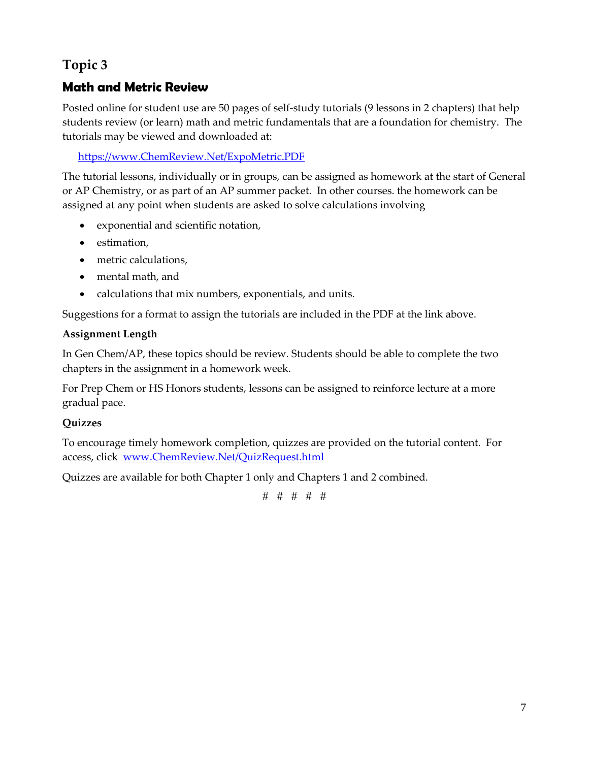## **Topic 3**

### **Math and Metric Review**

Posted online for student use are 50 pages of self-study tutorials (9 lessons in 2 chapters) that help students review (or learn) math and metric fundamentals that are a foundation for chemistry. The tutorials may be viewed and downloaded at:

[https://www.ChemReview.Net/ExpoMetric.PDF](https://www.chemreview.net/ExpoMetric.PDF)

The tutorial lessons, individually or in groups, can be assigned as homework at the start of General or AP Chemistry, or as part of an AP summer packet. In other courses. the homework can be assigned at any point when students are asked to solve calculations involving

- exponential and scientific notation,
- estimation,
- metric calculations,
- mental math, and
- calculations that mix numbers, exponentials, and units.

Suggestions for a format to assign the tutorials are included in the PDF at the link above.

#### **Assignment Length**

In Gen Chem/AP, these topics should be review. Students should be able to complete the two chapters in the assignment in a homework week.

For Prep Chem or HS Honors students, lessons can be assigned to reinforce lecture at a more gradual pace.

#### **Quizzes**

To encourage timely homework completion, quizzes are provided on the tutorial content. For access, click [www.ChemReview.Net/QuizRequest.html](http://www.chemreview.net/QuizRequest.html) 

Quizzes are available for both Chapter 1 only and Chapters 1 and 2 combined.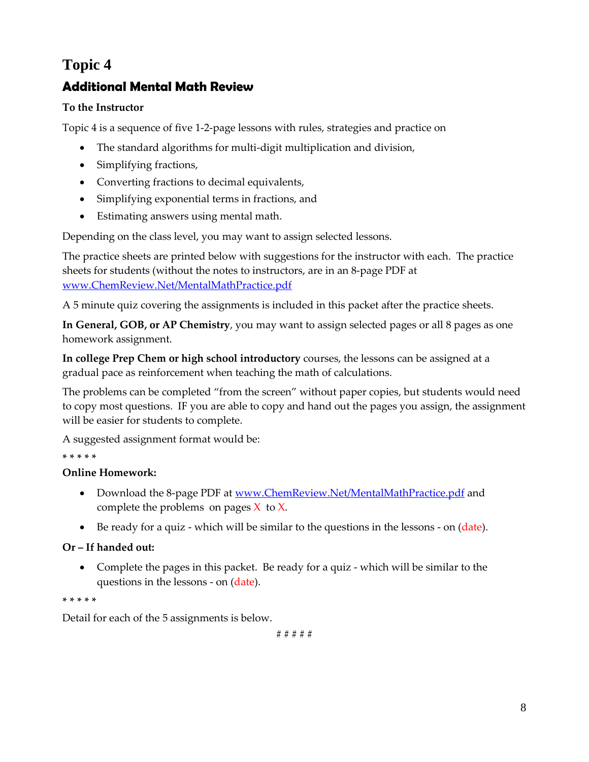## **Topic 4**

## **Additional Mental Math Review**

#### **To the Instructor**

Topic 4 is a sequence of five 1-2-page lessons with rules, strategies and practice on

- The standard algorithms for multi-digit multiplication and division,
- Simplifying fractions,
- Converting fractions to decimal equivalents,
- Simplifying exponential terms in fractions, and
- Estimating answers using mental math.

Depending on the class level, you may want to assign selected lessons.

The practice sheets are printed below with suggestions for the instructor with each. The practice sheets for students (without the notes to instructors, are in an 8-page PDF at [www.ChemReview.Net/MentalMathPractice.pdf](http://www.chemreview.net/MentalMathPractice.pdf)

A 5 minute quiz covering the assignments is included in this packet after the practice sheets.

**In General, GOB, or AP Chemistry**, you may want to assign selected pages or all 8 pages as one homework assignment.

**In college Prep Chem or high school introductory** courses, the lessons can be assigned at a gradual pace as reinforcement when teaching the math of calculations.

The problems can be completed "from the screen" without paper copies, but students would need to copy most questions. IF you are able to copy and hand out the pages you assign, the assignment will be easier for students to complete.

A suggested assignment format would be:

#### **\* \* \* \* \***

#### **Online Homework:**

- Download the 8-page PDF at [www.ChemReview.Net/MentalMathPractice.pdf](http://www.chemreview.net/MentalMathPractice.pdf) and complete the problems on pages  $X$  to  $X$ .
- Be ready for a quiz which will be similar to the questions in the lessons on (date).

#### **Or – If handed out:**

• Complete the pages in this packet. Be ready for a quiz - which will be similar to the questions in the lessons - on (date).

#### **\* \* \* \* \***

Detail for each of the 5 assignments is below.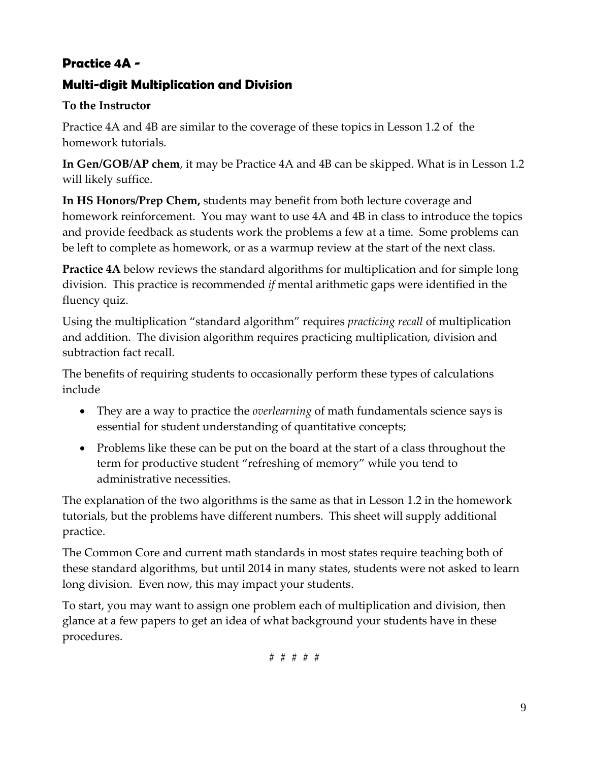## **Practice 4A -**

### **Multi-digit Multiplication and Division**

#### **To the Instructor**

Practice 4A and 4B are similar to the coverage of these topics in Lesson 1.2 of the homework tutorials.

**In Gen/GOB/AP chem**, it may be Practice 4A and 4B can be skipped. What is in Lesson 1.2 will likely suffice.

**In HS Honors/Prep Chem,** students may benefit from both lecture coverage and homework reinforcement. You may want to use 4A and 4B in class to introduce the topics and provide feedback as students work the problems a few at a time. Some problems can be left to complete as homework, or as a warmup review at the start of the next class.

**Practice 4A** below reviews the standard algorithms for multiplication and for simple long division. This practice is recommended *if* mental arithmetic gaps were identified in the fluency quiz.

Using the multiplication "standard algorithm" requires *practicing recall* of multiplication and addition. The division algorithm requires practicing multiplication, division and subtraction fact recall.

The benefits of requiring students to occasionally perform these types of calculations include

- They are a way to practice the *overlearning* of math fundamentals science says is essential for student understanding of quantitative concepts;
- Problems like these can be put on the board at the start of a class throughout the term for productive student "refreshing of memory" while you tend to administrative necessities.

The explanation of the two algorithms is the same as that in Lesson 1.2 in the homework tutorials, but the problems have different numbers. This sheet will supply additional practice.

The Common Core and current math standards in most states require teaching both of these standard algorithms, but until 2014 in many states, students were not asked to learn long division. Even now, this may impact your students.

To start, you may want to assign one problem each of multiplication and division, then glance at a few papers to get an idea of what background your students have in these procedures.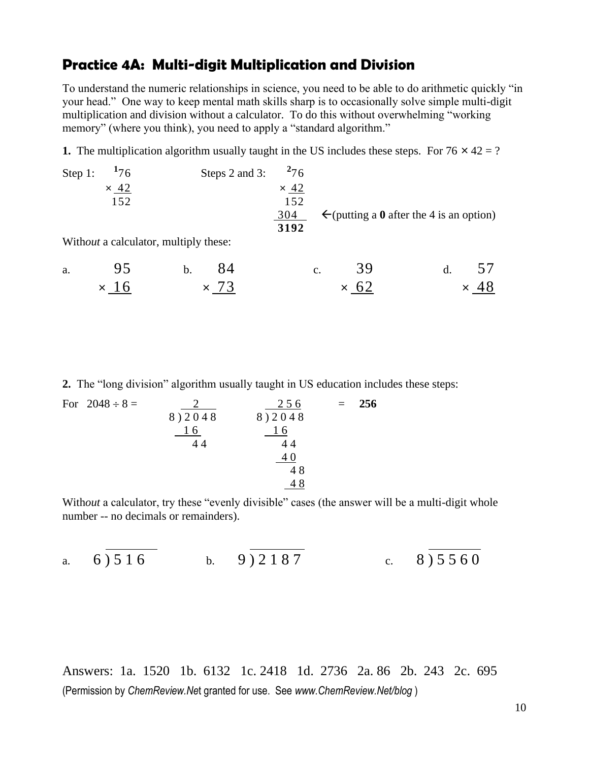### **Practice 4A: Multi-digit Multiplication and Division**

To understand the numeric relationships in science, you need to be able to do arithmetic quickly "in your head." One way to keep mental math skills sharp is to occasionally solve simple multi-digit multiplication and division without a calculator. To do this without overwhelming "working memory" (where you think), you need to apply a "standard algorithm."

**1.** The multiplication algorithm usually taught in the US includes these steps. For  $76 \times 42 = ?$ 

| Step 1: | $^{17}$ 6                             | Steps 2 and 3: | $^{2}76$    |    |                                                     |  |  |
|---------|---------------------------------------|----------------|-------------|----|-----------------------------------------------------|--|--|
|         | $\times$ 42                           |                | $\times$ 42 |    |                                                     |  |  |
|         | 152                                   |                |             |    |                                                     |  |  |
|         |                                       |                | 304         |    | $\leftarrow$ (putting a 0 after the 4 is an option) |  |  |
|         |                                       |                | 3192        |    |                                                     |  |  |
|         | Without a calculator, multiply these: |                |             |    |                                                     |  |  |
| a.      |                                       |                |             | c. | 3 Q                                                 |  |  |

 $\times$  16  $\times$  73  $\times$  62  $\times$  48

**2.** The "long division" algorithm usually taught in US education includes these steps:

For  $2048 \div 8 =$   $2 \qquad 256 = 256$ 8 ) 2 0 4 8 8 9 2 0 4 8 1 6 1 6  $44$   $44$ <u>40</u>  $\frac{40}{48}$ <u>48</u>

Without a calculator, try these "evenly divisible" cases (the answer will be a multi-digit whole number -- no decimals or remainders).

a. 
$$
6\overline{\smash{)}516}
$$
 b.  $9\overline{\smash{)}2187}$  c.  $8\overline{\smash{)}5560}$ 

Answers: 1a. 1520 1b. 6132 1c. 2418 1d. 2736 2a. 86 2b. 243 2c. 695 (Permission by *ChemReview.Ne*t granted for use. See *www.ChemReview.Net/blog* )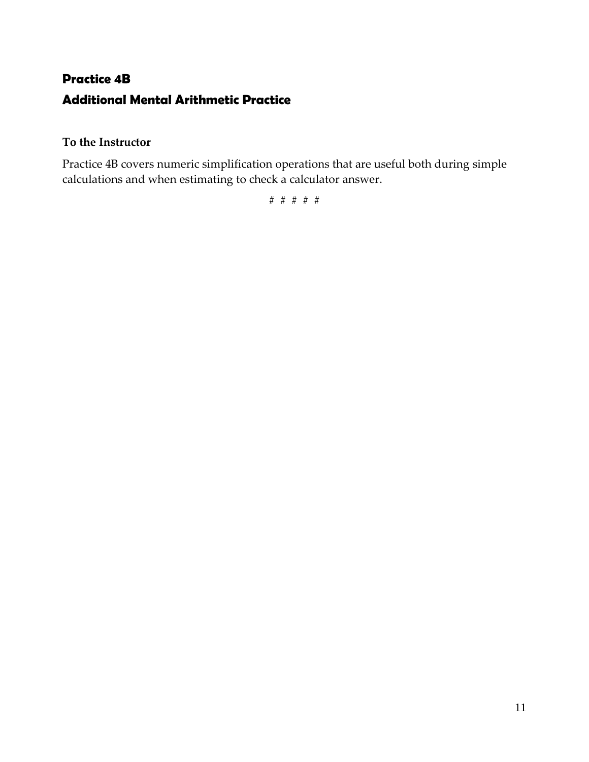## **Practice 4B Additional Mental Arithmetic Practice**

#### **To the Instructor**

Practice 4B covers numeric simplification operations that are useful both during simple calculations and when estimating to check a calculator answer.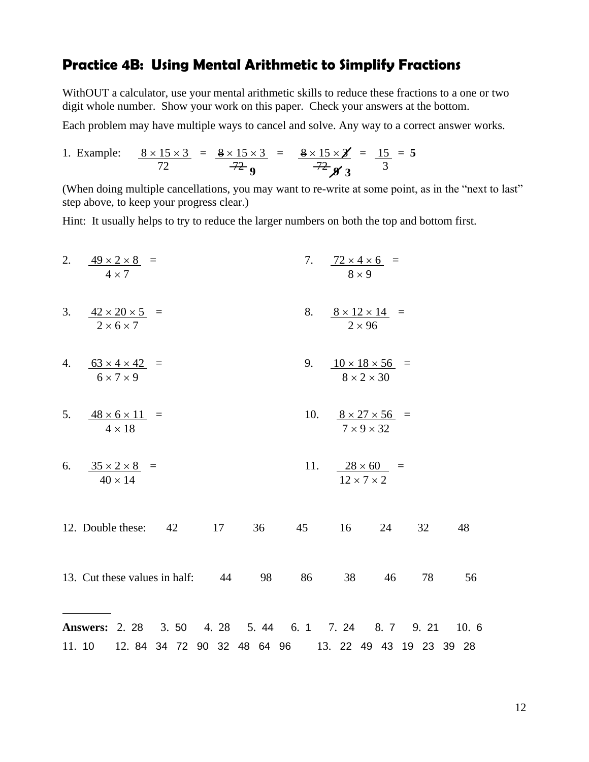### **Practice 4B: Using Mental Arithmetic to Simplify Fractions**

WithOUT a calculator, use your mental arithmetic skills to reduce these fractions to a one or two digit whole number. Show your work on this paper. Check your answers at the bottom.

Each problem may have multiple ways to cancel and solve. Any way to a correct answer works.

1. Example: 
$$
\frac{8 \times 15 \times 3}{72} = \frac{8 \times 15 \times 3}{72} = \frac{8 \times 15 \times 3}{72} = \frac{8 \times 15 \times 3}{72} = \frac{15}{3} = 5
$$

(When doing multiple cancellations, you may want to re-write at some point, as in the "next to last" step above, to keep your progress clear.)

Hint: It usually helps to try to reduce the larger numbers on both the top and bottom first.

2. 
$$
\frac{49 \times 2 \times 8}{4 \times 7} =
$$
  
\n3.  $\frac{42 \times 20 \times 5}{2 \times 6 \times 7} =$   
\n4.  $\frac{63 \times 4 \times 42}{6 \times 7 \times 9} =$   
\n5.  $\frac{48 \times 6 \times 11}{4 \times 18} =$   
\n6.  $\frac{35 \times 2 \times 8}{40 \times 14} =$   
\n7.  $\frac{72 \times 4 \times 6}{8 \times 9} =$   
\n8.  $\frac{8 \times 12 \times 14}{2 \times 96} =$   
\n9.  $\frac{10 \times 18 \times 56}{8 \times 2 \times 30} =$   
\n10.  $\frac{8 \times 27 \times 56}{7 \times 9 \times 32} =$   
\n11.  $\frac{28 \times 60}{12 \times 7 \times 2} =$   
\n12. Double these: 42 17 36 45 16 24 32 48  
\n13. Cut these values in half: 44 98 86 38 46 78 56  
\n**Answers:** 2. 28 3. 50 4. 28 5. 44 6. 1 7. 24 8. 7 9. 21 10. 6  
\n11. 10 12. 84 34 72 90 32 48 64 96 13. 22 49 43 19 23 39 28

12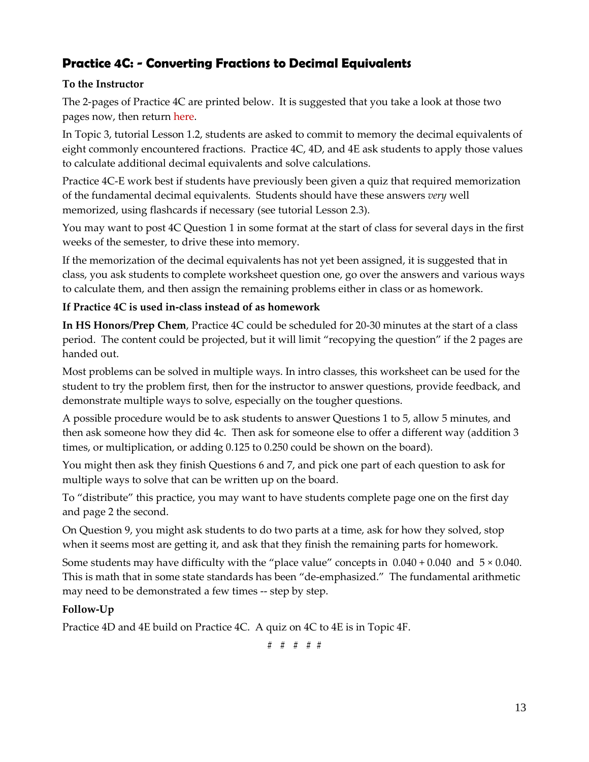### **Practice 4C: - Converting Fractions to Decimal Equivalents**

#### **To the Instructor**

The 2-pages of Practice 4C are printed below. It is suggested that you take a look at those two pages now, then return here.

In Topic 3, tutorial Lesson 1.2, students are asked to commit to memory the decimal equivalents of eight commonly encountered fractions. Practice 4C, 4D, and 4E ask students to apply those values to calculate additional decimal equivalents and solve calculations.

Practice 4C-E work best if students have previously been given a quiz that required memorization of the fundamental decimal equivalents. Students should have these answers *very* well memorized, using flashcards if necessary (see tutorial Lesson 2.3).

You may want to post 4C Question 1 in some format at the start of class for several days in the first weeks of the semester, to drive these into memory.

If the memorization of the decimal equivalents has not yet been assigned, it is suggested that in class, you ask students to complete worksheet question one, go over the answers and various ways to calculate them, and then assign the remaining problems either in class or as homework.

#### **If Practice 4C is used in-class instead of as homework**

**In HS Honors/Prep Chem**, Practice 4C could be scheduled for 20-30 minutes at the start of a class period. The content could be projected, but it will limit "recopying the question" if the 2 pages are handed out.

Most problems can be solved in multiple ways. In intro classes, this worksheet can be used for the student to try the problem first, then for the instructor to answer questions, provide feedback, and demonstrate multiple ways to solve, especially on the tougher questions.

A possible procedure would be to ask students to answer Questions 1 to 5, allow 5 minutes, and then ask someone how they did 4c. Then ask for someone else to offer a different way (addition 3 times, or multiplication, or adding 0.125 to 0.250 could be shown on the board).

You might then ask they finish Questions 6 and 7, and pick one part of each question to ask for multiple ways to solve that can be written up on the board.

To "distribute" this practice, you may want to have students complete page one on the first day and page 2 the second.

On Question 9, you might ask students to do two parts at a time, ask for how they solved, stop when it seems most are getting it, and ask that they finish the remaining parts for homework.

Some students may have difficulty with the "place value" concepts in  $0.040 + 0.040$  and  $5 \times 0.040$ . This is math that in some state standards has been "de-emphasized." The fundamental arithmetic may need to be demonstrated a few times -- step by step.

#### **Follow-Up**

Practice 4D and 4E build on Practice 4C. A quiz on 4C to 4E is in Topic 4F.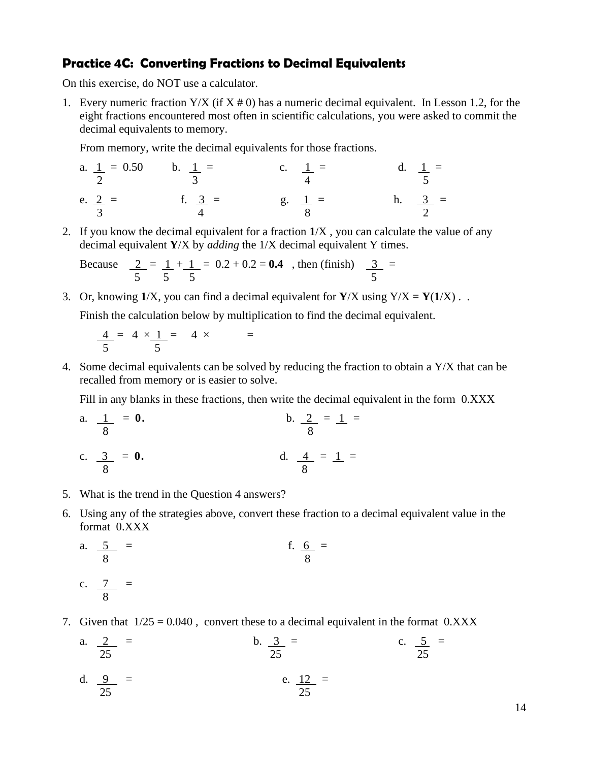#### **Practice 4C: Converting Fractions to Decimal Equivalents**

On this exercise, do NOT use a calculator.

1. Every numeric fraction  $Y/X$  (if  $X \neq 0$ ) has a numeric decimal equivalent. In Lesson 1.2, for the eight fractions encountered most often in scientific calculations, you were asked to commit the decimal equivalents to memory.

From memory, write the decimal equivalents for those fractions.

a. 
$$
\frac{1}{2} = 0.50
$$
 b.  $\frac{1}{3} =$  c.  $\frac{1}{4} =$  d.  $\frac{1}{5} =$  e.  $\frac{2}{3} =$  f.  $\frac{3}{4} =$  g.  $\frac{1}{8} =$  h.  $\frac{3}{2} =$ 

2. If you know the decimal equivalent for a fraction **1**/X , you can calculate the value of any decimal equivalent **Y**/X by *adding* the 1/X decimal equivalent Y times.

Because 
$$
\frac{2}{5} = \frac{1}{5} + \frac{1}{5} = 0.2 + 0.2 = 0.4
$$
, then (finish)  $\frac{3}{5} =$ 

3. Or, knowing  $1/X$ , you can find a decimal equivalent for  $Y/X$  using  $Y/X = Y(1/X)$ .

Finish the calculation below by multiplication to find the decimal equivalent.

$$
\frac{4}{5} = 4 \times \frac{1}{5} = 4 \times =
$$

4. Some decimal equivalents can be solved by reducing the fraction to obtain a Y/X that can be recalled from memory or is easier to solve.

Fill in any blanks in these fractions, then write the decimal equivalent in the form 0.XXX

a. 
$$
\frac{1}{8} = 0
$$
.  
b.  $\frac{2}{8} = 1 =$   
c.  $\frac{3}{8} = 0$ .  
d.  $\frac{4}{8} = 1 =$ 

- 5. What is the trend in the Question 4 answers?
- 6. Using any of the strategies above, convert these fraction to a decimal equivalent value in the format 0.XXX

a. 
$$
\frac{5}{8} = 6
$$
  
c.  $\frac{7}{8} = 6$   
 b.  $\frac{6}{8} = 6$   
 c.  $\frac{7}{8} = 6$ 

- 7. Given that  $1/25 = 0.040$ , convert these to a decimal equivalent in the format 0.XXX
	- a.  $\frac{2}{25}$  = b.  $\frac{3}{25}$  = c.  $\frac{5}{25}$  = b.  $\frac{3}{25}$  = d.  $\frac{9}{2}$  = e.  $\frac{12}{2}$  = 25 25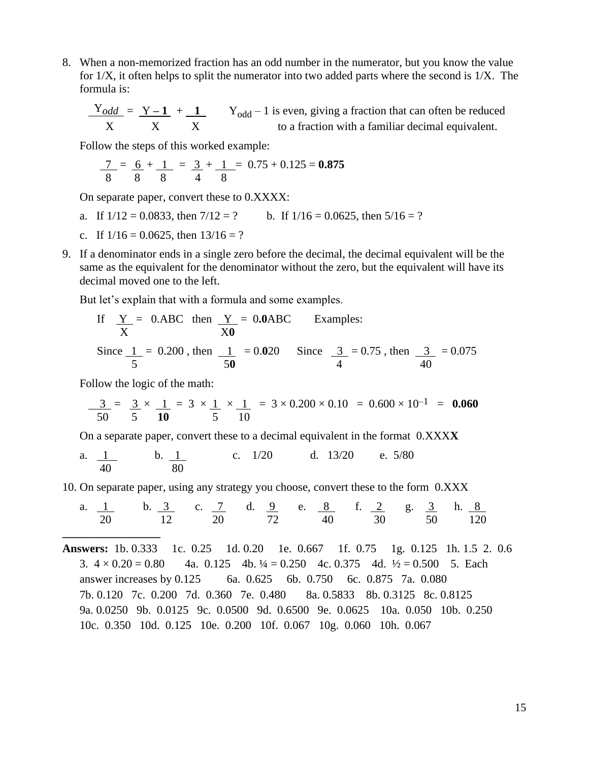8. When a non-memorized fraction has an odd number in the numerator, but you know the value for 1/X, it often helps to split the numerator into two added parts where the second is 1/X. The formula is:

 $\frac{Y_{odd}}{Y} = \frac{Y - 1}{Y - 1} + \frac{1}{Y_{odd}} - 1$  is even, giving a fraction that can often be reduced X X X to a fraction with a familiar decimal equivalent.

Follow the steps of this worked example:

$$
\frac{7}{8} = \frac{6}{8} + \frac{1}{8} = \frac{3}{4} + \frac{1}{8} = 0.75 + 0.125 = 0.875
$$

On separate paper, convert these to 0.XXXX:

- a. If  $1/12 = 0.0833$ , then  $7/12 = ?$  b. If  $1/16 = 0.0625$ , then  $5/16 = ?$
- c. If  $1/16 = 0.0625$ , then  $13/16 = ?$
- 9. If a denominator ends in a single zero before the decimal, the decimal equivalent will be the same as the equivalent for the denominator without the zero, but the equivalent will have its decimal moved one to the left.

But let's explain that with a formula and some examples.

If 
$$
\frac{Y}{X} = 0
$$
.ABC then  $\frac{Y}{X0} = 0.0$ ABC Examples:  
Since  $\frac{1}{5} = 0.200$ , then  $\frac{1}{50} = 0.020$  Since  $\frac{3}{4} = 0.75$ , then  $\frac{3}{40} = 0.075$ 

Follow the logic of the math:

**\_\_\_\_\_\_\_\_\_\_\_\_\_\_\_\_\_**

$$
\frac{3}{50} = \frac{3}{5} \times \frac{1}{10} = 3 \times \frac{1}{5} \times \frac{1}{10} = 3 \times 0.200 \times 0.10 = 0.600 \times 10^{-1} = 0.060
$$

On a separate paper, convert these to a decimal equivalent in the format 0.XXX**X**

a. 
$$
\frac{1}{40}
$$
 b.  $\frac{1}{80}$  c. 1/20 d. 13/20 e. 5/80

10. On separate paper, using any strategy you choose, convert these to the form 0.XXX

a. 
$$
\frac{1}{20}
$$
 b.  $\frac{3}{12}$  c.  $\frac{7}{20}$  d.  $\frac{9}{72}$  e.  $\frac{8}{40}$  f.  $\frac{2}{30}$  g.  $\frac{3}{50}$  h.  $\frac{8}{120}$ 

**Answers:** 1b. 0.333 1c. 0.25 1d. 0.20 1e. 0.667 1f. 0.75 1g. 0.125 1h. 1.5 2. 0.6 3.  $4 \times 0.20 = 0.80$  4a.  $0.125$  4b.  $\frac{1}{4} = 0.250$  4c.  $0.375$  4d.  $\frac{1}{2} = 0.500$  5. Each answer increases by 0.125 6a. 0.625 6b. 0.750 6c. 0.875 7a. 0.080 7b. 0.120 7c. 0.200 7d. 0.360 7e. 0.480 8a. 0.5833 8b. 0.3125 8c. 0.8125 9a. 0.0250 9b. 0.0125 9c. 0.0500 9d. 0.6500 9e. 0.0625 10a. 0.050 10b. 0.250 10c. 0.350 10d. 0.125 10e. 0.200 10f. 0.067 10g. 0.060 10h. 0.067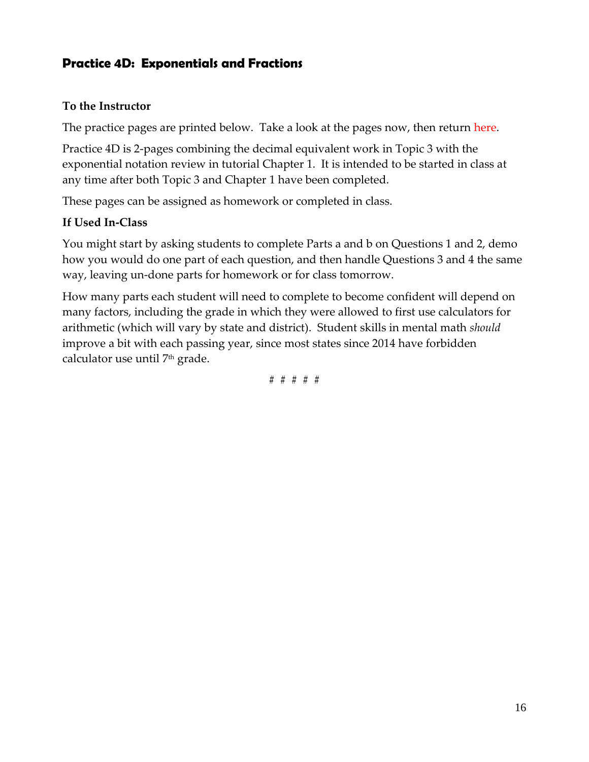### **Practice 4D: Exponentials and Fractions**

#### **To the Instructor**

The practice pages are printed below. Take a look at the pages now, then return here.

Practice 4D is 2-pages combining the decimal equivalent work in Topic 3 with the exponential notation review in tutorial Chapter 1. It is intended to be started in class at any time after both Topic 3 and Chapter 1 have been completed.

These pages can be assigned as homework or completed in class.

#### **If Used In-Class**

You might start by asking students to complete Parts a and b on Questions 1 and 2, demo how you would do one part of each question, and then handle Questions 3 and 4 the same way, leaving un-done parts for homework or for class tomorrow.

How many parts each student will need to complete to become confident will depend on many factors, including the grade in which they were allowed to first use calculators for arithmetic (which will vary by state and district). Student skills in mental math *should* improve a bit with each passing year, since most states since 2014 have forbidden calculator use until 7th grade.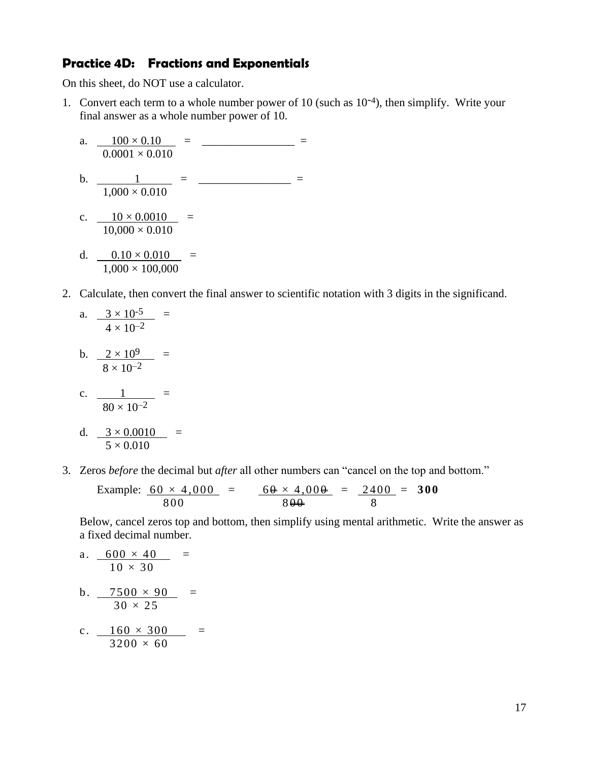#### **Practice 4D: Fractions and Exponentials**

On this sheet, do NOT use a calculator.

1. Convert each term to a whole number power of 10 (such as  $10^{-4}$ ), then simplify. Write your final answer as a whole number power of 10.

a. 
$$
\frac{100 \times 0.10}{0.0001 \times 0.010} = \frac{1}{0.0001 \times 0.010} = \frac{1}{0.000 \times 0.010} = \frac{1}{0.000 \times 0.010} = \frac{1}{0.000 \times 0.010} = \frac{0.10 \times 0.010}{1,000 \times 100,000} = \frac{1}{0.000 \times 100,000} = \frac{0.10 \times 0.010}{0.000 \times 100,000} = \frac{0.10 \times 0.010}{0.000 \times 100,000} = \frac{0.10 \times 0.010}{0.000 \times 100,000} = \frac{0.10 \times 0.010}{0.000 \times 100,000} = \frac{0.10 \times 0.010}{0.000 \times 100,000} = \frac{0.10 \times 0.010}{0.000 \times 100,000} = \frac{0.10 \times 0.010}{0.000 \times 100,000} = \frac{0.10 \times 0.010}{0.000 \times 100,000} = \frac{0.10 \times 0.010}{0.000 \times 100,000} = \frac{0.10 \times 0.010}{0.000 \times 100,000} = \frac{0.10 \times 0.010}{0.000 \times 100,000} = \frac{0.10 \times 0.010}{0.000 \times 100,000} = \frac{0.10 \times 0.010}{0.000 \times 100,000} = \frac{0.10 \times 0.010}{0.000 \times 100,000} = \frac{0.10 \times 0.010}{0.000 \times 100,000} = \frac{0.10 \times 0.010}{0.000 \times 100,000} = \frac{0.10 \times 0.010}{0.000 \times 100,000} = \frac{0.10 \times 0.010}{0.000 \times 100,000
$$

2. Calculate, then convert the final answer to scientific notation with 3 digits in the significand.

a. 
$$
\frac{3 \times 10^{-5}}{4 \times 10^{-2}} =
$$

b. 
$$
\frac{2 \times 10^9}{8 \times 10^{-2}} =
$$

c. 
$$
\frac{1}{80 \times 10^{-2}}
$$
 =

d. 
$$
\frac{3 \times 0.0010}{5 \times 0.010} =
$$

3. Zeros *before* the decimal but *after* all other numbers can "cancel on the top and bottom."

Example: 
$$
\frac{60 \times 4,000}{800} = \frac{60 + 4,000}{800} = \frac{2400}{8} = 300
$$

Below, cancel zeros top and bottom, then simplify using mental arithmetic. Write the answer as a fixed decimal number.

a. 
$$
\frac{600 \times 40}{10 \times 30} =
$$
  
\nb. 
$$
\frac{7500 \times 90}{30 \times 25} =
$$
  
\nc. 
$$
\frac{160 \times 300}{3200 \times 60} =
$$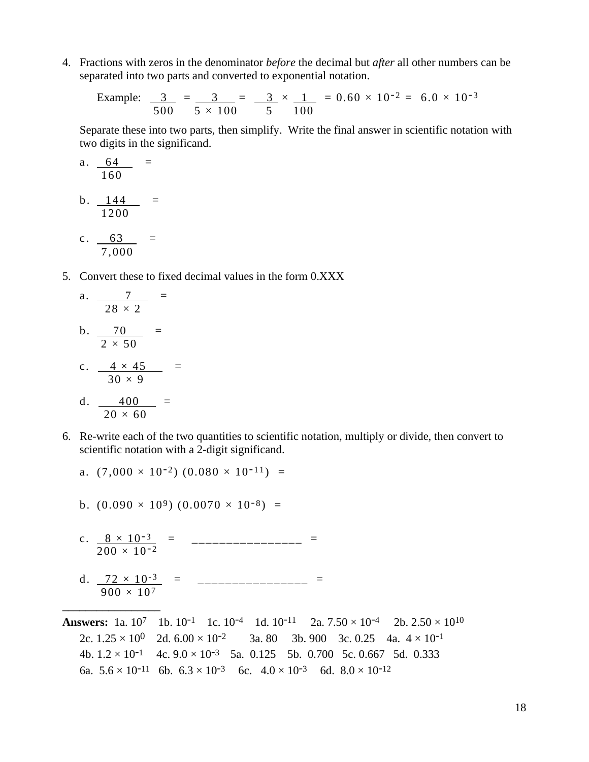4. Fractions with zeros in the denominator *before* the decimal but *after* all other numbers can be separated into two parts and converted to exponential notation.

Example: 
$$
\frac{3}{500} = \frac{3}{5 \times 100} = \frac{3}{5} \times \frac{1}{100} = 0.60 \times 10^{-2} = 6.0 \times 10^{-3}
$$

Separate these into two parts, then simplify. Write the final answer in scientific notation with two digits in the significand.

a. 
$$
\frac{64}{160} =
$$
  
b.  $\frac{144}{1200} =$   
c.  $\frac{63}{1200} =$ 

7,000

5. Convert these to fixed decimal values in the form 0.XXX

a. 
$$
\frac{7}{28 \times 2} =
$$
  
b.  $\frac{70}{2 \times 50} =$   
c.  $4 \times 45 =$ 

$$
\begin{array}{r}\n\text{c.} & \frac{4 \times 43}{30 \times 9} \\
\text{d.} & 400 = \\
\end{array}
$$

$$
\frac{4.6}{20 \times 60}
$$

**\_\_\_\_\_\_\_\_\_\_\_\_\_\_\_\_\_**

6. Re-write each of the two quantities to scientific notation, multiply or divide, then convert to scientific notation with a 2-digit significand.

a. 
$$
(7,000 \times 10^{-2})
$$
  $(0.080 \times 10^{-11})$  =

- b.  $(0.090 \times 10^9)$   $(0.0070 \times 10^{-8})$  =
- c.  $8 \times 10^{-3}$  = \_\_\_\_\_\_\_\_\_\_\_\_\_\_\_\_ =  $200 \times 10^{-2}$
- d.  $\frac{72 \times 10^{-3}}{2}$  = \_\_\_\_\_\_\_\_\_\_\_\_\_\_\_\_ =  $900 \times 10^7$
- **Answers:** 1a.  $10^7$  1b.  $10^{-1}$  1c.  $10^{-4}$  1d.  $10^{-11}$  2a.  $7.50 \times 10^{-4}$  2b.  $2.50 \times 10^{10}$ 2c.  $1.25 \times 10^{0}$  2d.  $6.00 \times 10^{-2}$  3a. 80 3b. 900 3c. 0.25 4a.  $4 \times 10^{-1}$ 4b.  $1.2 \times 10^{-1}$  4c.  $9.0 \times 10^{-3}$  5a. 0.125 5b. 0.700 5c. 0.667 5d. 0.333 6a.  $5.6 \times 10^{-11}$  6b.  $6.3 \times 10^{-3}$  6c.  $4.0 \times 10^{-3}$  6d.  $8.0 \times 10^{-12}$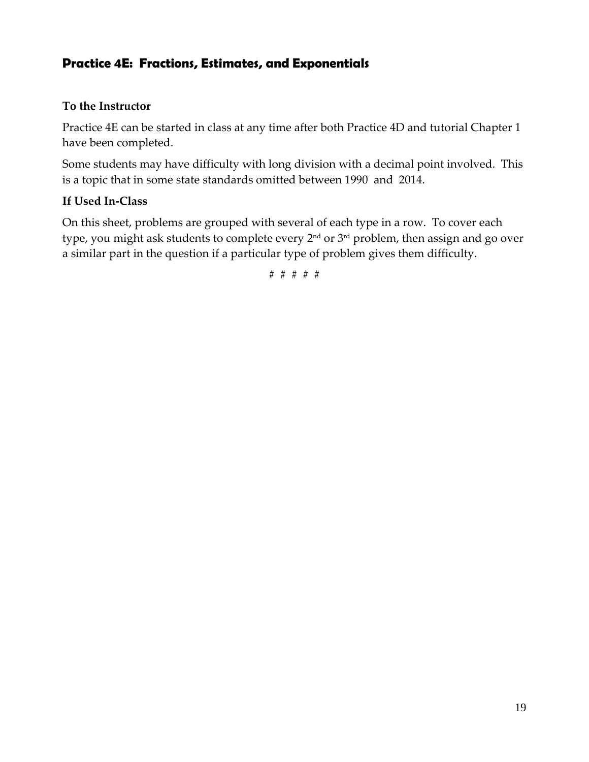### **Practice 4E: Fractions, Estimates, and Exponentials**

#### **To the Instructor**

Practice 4E can be started in class at any time after both Practice 4D and tutorial Chapter 1 have been completed.

Some students may have difficulty with long division with a decimal point involved. This is a topic that in some state standards omitted between 1990 and 2014.

#### **If Used In-Class**

On this sheet, problems are grouped with several of each type in a row. To cover each type, you might ask students to complete every 2nd or 3rd problem, then assign and go over a similar part in the question if a particular type of problem gives them difficulty.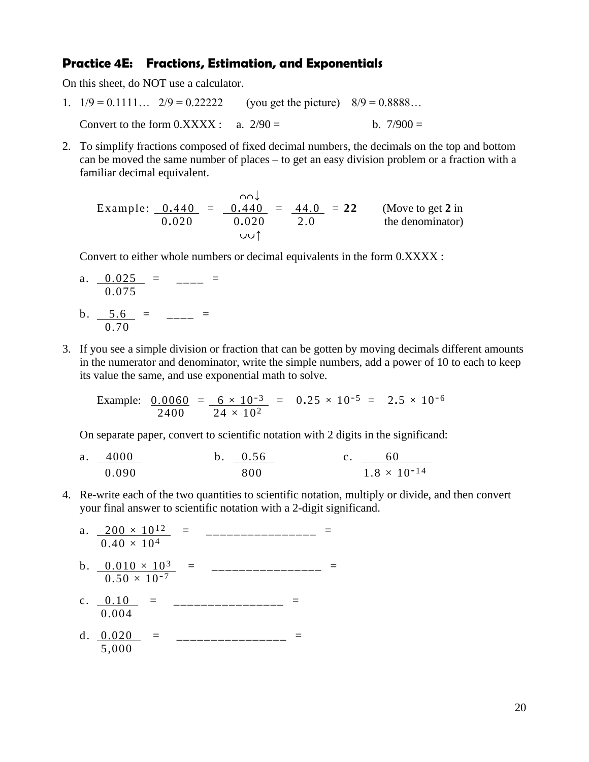#### **Practice 4E: Fractions, Estimation, and Exponentials**

On this sheet, do NOT use a calculator.

- 1.  $1/9 = 0.1111...$   $2/9 = 0.22222$  (you get the picture)  $8/9 = 0.8888...$ Convert to the form  $0.XXXX$ : a.  $2/90 =$  b.  $7/900 =$
- 2. To simplify fractions composed of fixed decimal numbers, the decimals on the top and bottom can be moved the same number of places – to get an easy division problem or a fraction with a familiar decimal equivalent.

 $\overline{1}$ Example:  $0.440 = 0.440 = 44.0 = 22$  (Move to get 2 in 0**.**020 0**.**020 2.0 the denominator)  $\mathcal{O}(\mathcal{O})$ 

Convert to either whole numbers or decimal equivalents in the form 0.XXXX :

a. 
$$
\frac{0.025}{0.075}
$$
 =  $\frac{\ }{\ }{\ }=$ 

- b.  $\frac{5.6}{ }$  =  $\frac{ }{ }$  =  $\frac{ }{ }$  = 0.70
- 3. If you see a simple division or fraction that can be gotten by moving decimals different amounts in the numerator and denominator, write the simple numbers, add a power of 10 to each to keep its value the same, and use exponential math to solve.

Example:  $0.0060 = 6 \times 10^{-3} = 0.25 \times 10^{-5} = 2.5 \times 10^{-6}$  $2400$   $24 \times 10^{2}$ 

On separate paper, convert to scientific notation with 2 digits in the significand:

- a. 4000 b. 0.56 c. 60  $0.090$  800  $1.8 \times 10^{-14}$
- 4. Re-write each of the two quantities to scientific notation, multiply or divide, and then convert your final answer to scientific notation with a 2-digit significand.
	- a.  $200 \times 10^{12}$  = \_\_\_\_\_\_\_\_\_\_\_\_\_\_\_ =  $0.40 \times 10^{4}$
	- b.  $0.010 \times 10^3$  = \_\_\_\_\_\_\_\_\_\_\_\_\_\_\_\_ =  $0.50 \times 10^{-7}$
	- c.  $0.10 =$  = \_\_\_\_\_\_\_\_\_\_\_\_\_\_\_\_ = 0.004
	- d.  $0.020$  = \_\_\_\_\_\_\_\_\_\_\_\_\_\_\_ =  $5,000$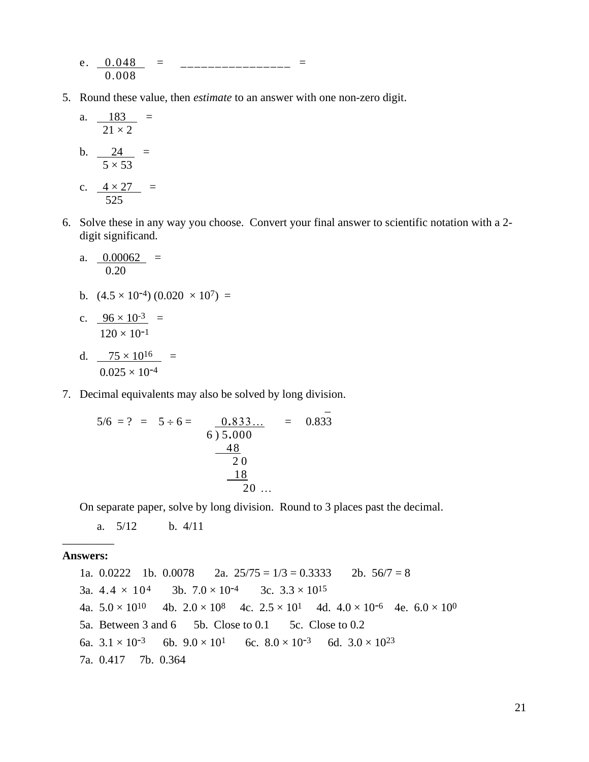- e.  $0.048$  = \_\_\_\_\_\_\_\_\_\_\_\_\_\_\_\_ = 0.008
- 5. Round these value, then *estimate* to an answer with one non-zero digit.

a. 
$$
\frac{183}{21 \times 2} =
$$
  
\nb.  $\frac{24}{5 \times 53} =$   
\nc.  $\frac{4 \times 27}{525} =$ 

6. Solve these in any way you choose. Convert your final answer to scientific notation with a 2 digit significand.

a. 
$$
\frac{0.00062}{0.20} =
$$

- b.  $(4.5 \times 10^{-4}) (0.020 \times 10^7) =$
- c.  $96 \times 10^{-3}$  =  $120 \times 10^{-1}$
- d.  $75 \times 10^{16}$  =  $0.025 \times 10^{-4}$
- 7. Decimal equivalents may also be solved by long division.

$$
5/6 = ? = 5 \div 6 = \underbrace{0.833...}_{6) 5.000} = 0.833
$$
  

$$
\underbrace{48}_{20}
$$
  

$$
\underbrace{18}_{20} ...
$$

and the second contract of the second contract of the second contract of the second contract of the second contract of the second contract of the second contract of the second contract of the second contract of the second

On separate paper, solve by long division. Round to 3 places past the decimal.

a. 5/12 b. 4/11

#### \_\_\_\_\_\_\_\_\_ **Answers:**

1a.  $0.0222$  1b.  $0.0078$  2a.  $25/75 = 1/3 = 0.3333$  2b.  $56/7 = 8$ 3a.  $4.4 \times 10^4$  3b.  $7.0 \times 10^{-4}$  3c.  $3.3 \times 10^{15}$ 4a.  $5.0 \times 10^{10}$ 4b.  $2.0 \times 10^8$  4c.  $2.5 \times 10^1$  4d.  $4.0 \times 10^{-6}$  4e.  $6.0 \times 10^0$ 5a. Between 3 and 6 5b. Close to 0.1 5c. Close to 0.2 6a.  $3.1 \times 10^{-3}$  6b.  $9.0 \times 10^{1}$  6c.  $8.0 \times 10^{-3}$  6d.  $3.0 \times 10^{23}$ 7a. 0.417 7b. 0.364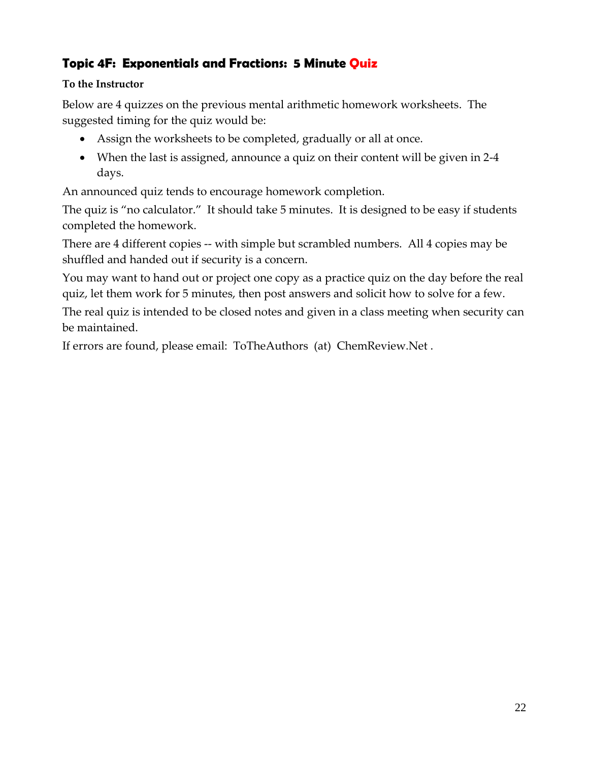## **Topic 4F: Exponentials and Fractions: 5 Minute Quiz**

#### **To the Instructor**

Below are 4 quizzes on the previous mental arithmetic homework worksheets. The suggested timing for the quiz would be:

- Assign the worksheets to be completed, gradually or all at once.
- When the last is assigned, announce a quiz on their content will be given in 2-4 days.

An announced quiz tends to encourage homework completion.

The quiz is "no calculator." It should take 5 minutes. It is designed to be easy if students completed the homework.

There are 4 different copies -- with simple but scrambled numbers. All 4 copies may be shuffled and handed out if security is a concern.

You may want to hand out or project one copy as a practice quiz on the day before the real quiz, let them work for 5 minutes, then post answers and solicit how to solve for a few.

The real quiz is intended to be closed notes and given in a class meeting when security can be maintained.

If errors are found, please email: ToTheAuthors (at) ChemReview.Net .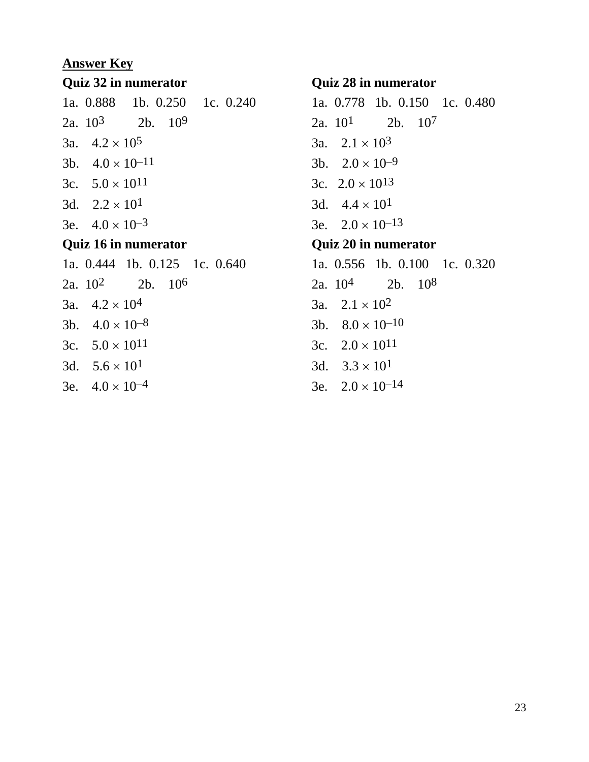#### **Answer Key**

#### **Quiz 32 in numerator**

|                             | 1a. 0.888 1b. 0.250 1c. 0.240 |  |  |  |  |
|-----------------------------|-------------------------------|--|--|--|--|
|                             | 2a. $10^3$ 2b. $10^9$         |  |  |  |  |
|                             | 3a. $4.2 \times 10^5$         |  |  |  |  |
|                             | 3b. $4.0 \times 10^{-11}$     |  |  |  |  |
|                             | 3c. $5.0 \times 10^{11}$      |  |  |  |  |
|                             | 3d. $2.2 \times 10^{1}$       |  |  |  |  |
|                             | 3e. $4.0 \times 10^{-3}$      |  |  |  |  |
| <b>Quiz 16 in numerator</b> |                               |  |  |  |  |
|                             | 1a. 0.444 1b. 0.125 1c. 0.640 |  |  |  |  |
|                             | 2a. $10^2$ 2b. $10^6$         |  |  |  |  |
|                             | 3a. $4.2 \times 10^4$         |  |  |  |  |
|                             | 3b. $4.0 \times 10^{-8}$      |  |  |  |  |
|                             |                               |  |  |  |  |

- 3c.  $5.0 \times 10^{11}$ 3d.  $5.6 \times 10^{1}$
- 3e.  $4.0 \times 10^{-4}$

#### **Quiz 28 in numerator**

1a. 0.778 1b. 0.150 1c. 0.480 2a. 101 2b. 107 3a.  $2.1 \times 10^3$ 3b.  $2.0 \times 10^{-9}$ 3c.  $2.0 \times 10^{13}$ 3d.  $4.4 \times 10^{1}$ 3e.  $2.0 \times 10^{-13}$ **Quiz 20 in numerator** 1a. 0.556 1b. 0.100 1c. 0.320 2a. 104 2b. 108 3a.  $2.1 \times 10^2$ 3b.  $8.0 \times 10^{-10}$ 3c.  $2.0 \times 10^{11}$ 3d.  $3.3 \times 10^{1}$ 

3e.  $2.0 \times 10^{-14}$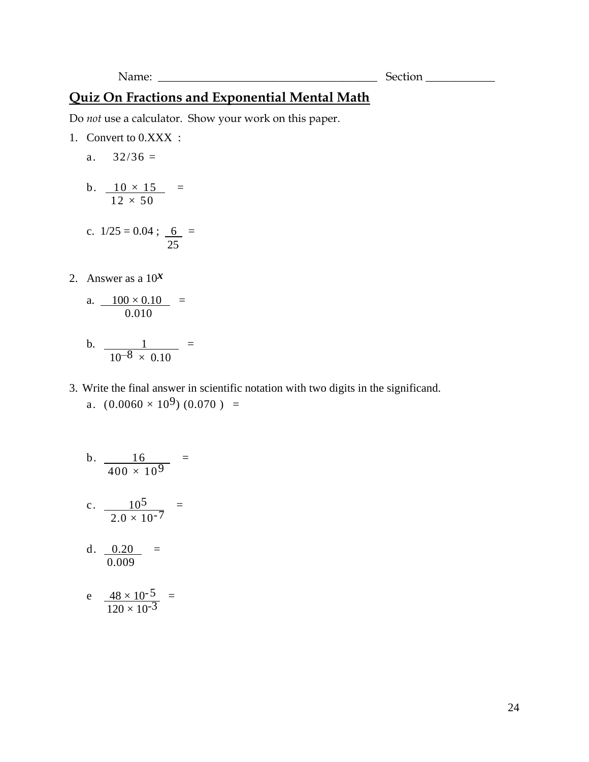Do *not* use a calculator. Show your work on this paper.

1. Convert to 0.XXX :

a.  $32/36 =$ 

$$
b. \quad \frac{10 \times 15}{12 \times 50} =
$$

c. 
$$
1/25 = 0.04
$$
;  $\frac{6}{25}$  =

2. Answer as a  $10^x$ 

a. 
$$
\frac{100 \times 0.10}{0.010} =
$$

b. 
$$
\frac{1}{10^{-8} \times 0.10} =
$$

3. Write the final answer in scientific notation with two digits in the significand. a.  $(0.0060 \times 10^9) (0.070) =$ 

b. 
$$
\frac{16}{400 \times 10^{9}} =
$$
  
c. 
$$
\frac{10^{5}}{2.0 \times 10^{-7}} =
$$
  
d. 
$$
\frac{0.20}{0.009} =
$$
  
e. 
$$
\frac{48 \times 10^{-5}}{120 \times 10^{-3}} =
$$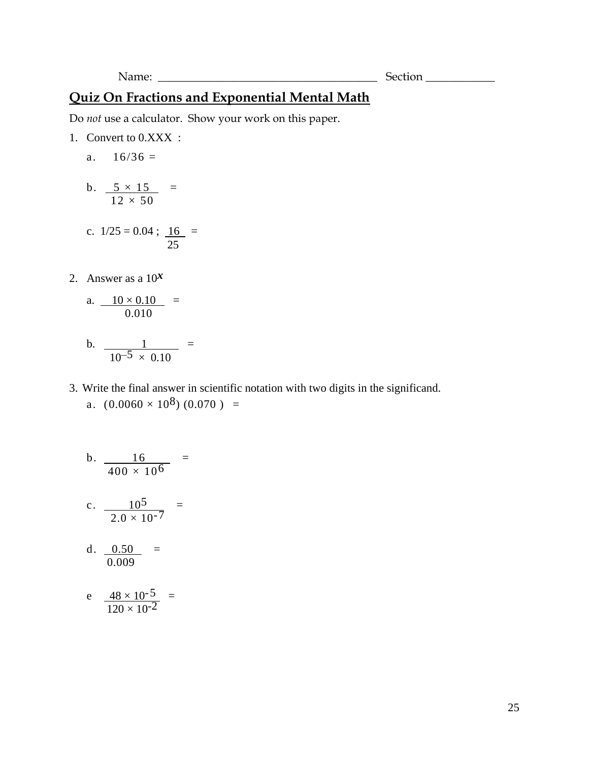Do *not* use a calculator. Show your work on this paper.

1. Convert to 0.XXX :

a.  $16/36 =$ 

- b.  $5 \times 15 =$  $12 \times 50$
- c.  $1/25 = 0.04$ ;  $16 =$ 25
- 2. Answer as a 10*x*

a. 
$$
\frac{10 \times 0.10}{0.010} =
$$

- b.  $\frac{1}{1}$  =  $10^{-5} \times 0.10$
- 3. Write the final answer in scientific notation with two digits in the significand. a.  $(0.0060 \times 10^8) (0.070) =$

b. 
$$
\frac{16}{400 \times 10^{6}} =
$$
  
c. 
$$
\frac{10^{5}}{2.0 \times 10^{-7}} =
$$
  
d. 
$$
\frac{0.50}{0.009} =
$$
  
e. 
$$
\frac{48 \times 10^{-5}}{120 \times 10^{-2}} =
$$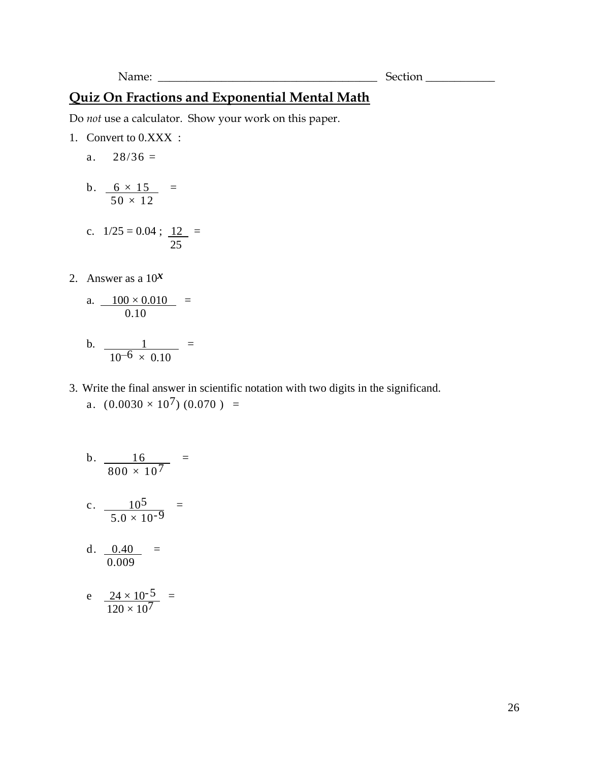Do *not* use a calculator. Show your work on this paper.

- 1. Convert to 0.XXX :
	- a.  $28/36 =$
	- b.  $6 \times 15 =$  $50 \times 12$
	- c.  $1/25 = 0.04$ ;  $12 =$ 25
- 2. Answer as a 10*x*

a. 
$$
\frac{100 \times 0.010}{0.10} =
$$

- b.  $\frac{1}{1}$  =  $10^{-6} \times 0.10$
- 3. Write the final answer in scientific notation with two digits in the significand. a.  $(0.0030 \times 10^7) (0.070) =$

b. 
$$
\frac{16}{800 \times 10^{7}} =
$$
  
c. 
$$
\frac{10^{5}}{5.0 \times 10^{-9}} =
$$
  
d. 
$$
\frac{0.40}{0.009} =
$$
  
e. 
$$
\frac{24 \times 10^{-5}}{120 \times 10^{7}} =
$$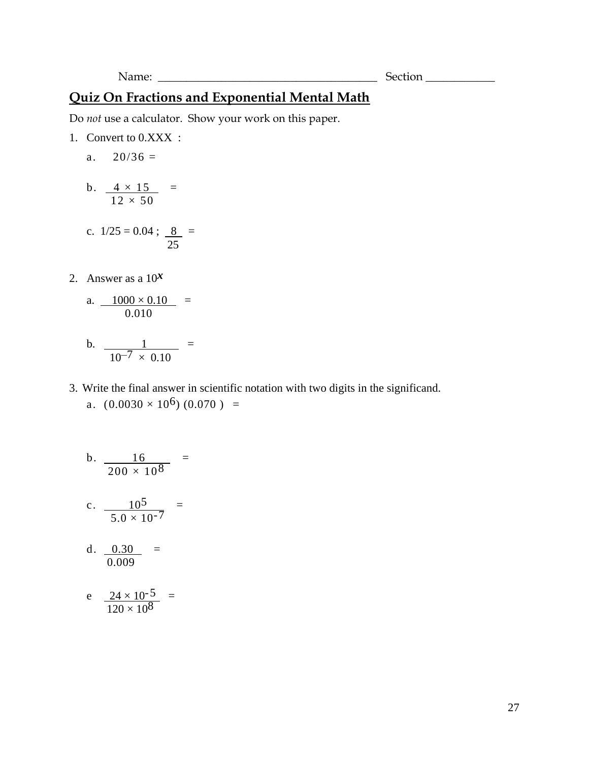Do *not* use a calculator. Show your work on this paper.

- 1. Convert to 0.XXX :
	- a.  $20/36 =$
	- b.  $4 \times 15$  =  $12 \times 50$
	- c.  $1/25 = 0.04$ ; <u>8</u> = 25
- 2. Answer as a 10*x*

a. 
$$
\frac{1000 \times 0.10}{0.010} =
$$

- b.  $\frac{1}{1}$  =  $10^{-7} \times 0.10$
- 3. Write the final answer in scientific notation with two digits in the significand. a.  $(0.0030 \times 10^6) (0.070) =$

b. 
$$
\frac{16}{200 \times 10^{8}} =
$$
  
c. 
$$
\frac{10^{5}}{5.0 \times 10^{-7}} =
$$
  
d. 
$$
\frac{0.30}{0.009} =
$$
  
e. 
$$
\frac{24 \times 10^{-5}}{120 \times 10^{8}} =
$$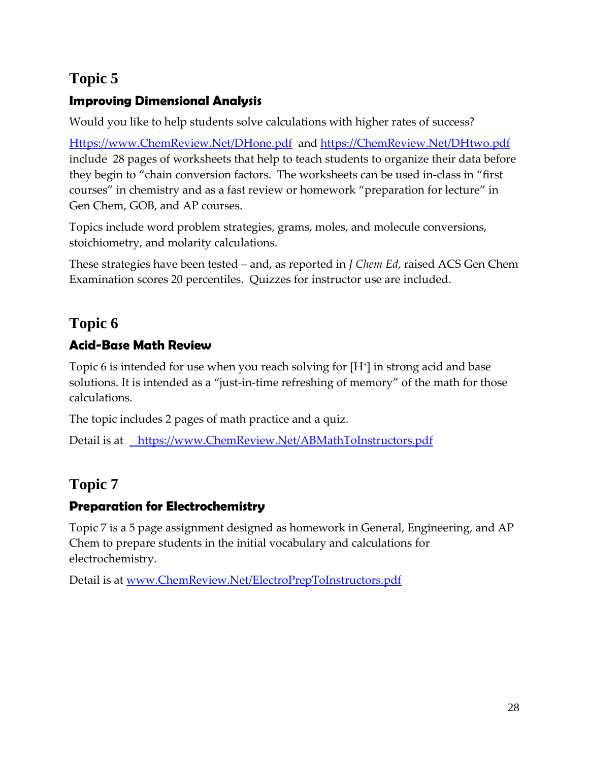## **Topic 5**

## **Improving Dimensional Analysis**

Would you like to help students solve calculations with higher rates of success?

[Https://www.ChemReview.Net/DHone.pdf](https://www.chemreview.net/DHone.pdf) and [https://ChemReview.Net/DHtwo.pdf](https://chemreview.net/DHtwo.pdf)  include 28 pages of worksheets that help to teach students to organize their data before they begin to "chain conversion factors. The worksheets can be used in-class in "first courses" in chemistry and as a fast review or homework "preparation for lecture" in Gen Chem, GOB, and AP courses.

Topics include word problem strategies, grams, moles, and molecule conversions, stoichiometry, and molarity calculations.

These strategies have been tested – and, as reported in *J Chem Ed*, raised ACS Gen Chem Examination scores 20 percentiles. Quizzes for instructor use are included.

## **Topic 6**

## **Acid-Base Math Review**

Topic 6 is intended for use when you reach solving for [H<sup>+</sup> ] in strong acid and base solutions. It is intended as a "just-in-time refreshing of memory" of the math for those calculations.

The topic includes 2 pages of math practice and a quiz.

Detail is at [https://www.ChemReview.Net/ABMathToInstructors.pdf](https://www.chemreview.net/ABMathToInstructors.pdf)

## **Topic 7**

## **Preparation for Electrochemistry**

Topic 7 is a 5 page assignment designed as homework in General, Engineering, and AP Chem to prepare students in the initial vocabulary and calculations for electrochemistry.

Detail is at [www.ChemReview.Net/ElectroPrepToInstructors.pdf](http://www.chemreview.net/ElectroPrepToInstructors.pdf)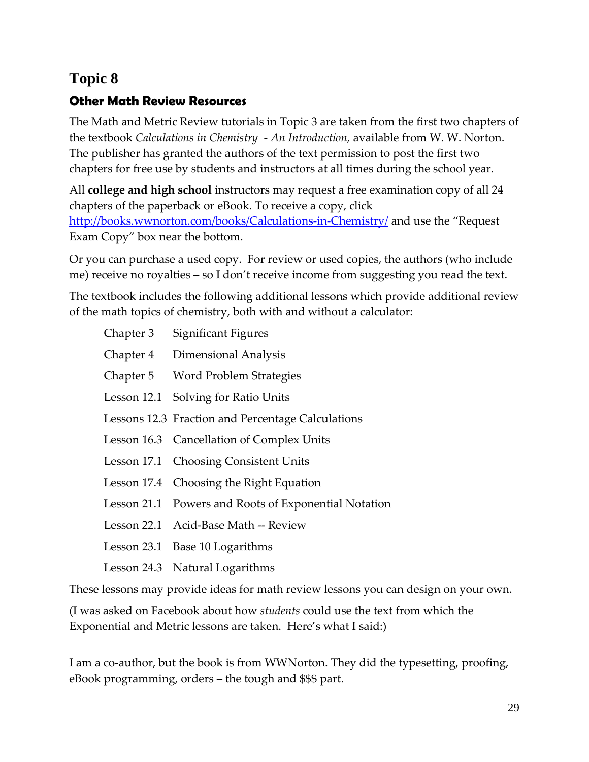## **Topic 8**

## **Other Math Review Resources**

The Math and Metric Review tutorials in Topic 3 are taken from the first two chapters of the textbook *Calculations in Chemistry - An Introduction,* available from W. W. Norton. The publisher has granted the authors of the text permission to post the first two chapters for free use by students and instructors at all times during the school year.

All **college and high school** instructors may request a free examination copy of all 24 chapters of the paperback or eBook. To receive a copy, click [http://books.wwnorton.com/books/Calculations-in-Chemistry/](http://books.wwnorton.com/books/webad.aspx?id=4294992841) and use the "Request" Exam Copy" box near the bottom.

Or you can purchase a used copy. For review or used copies, the authors (who include me) receive no royalties – so I don't receive income from suggesting you read the text.

The textbook includes the following additional lessons which provide additional review of the math topics of chemistry, both with and without a calculator:

| Chapter 3   | Significant Figures                                  |
|-------------|------------------------------------------------------|
|             | Chapter 4 Dimensional Analysis                       |
|             | Chapter 5 Word Problem Strategies                    |
| Lesson 12.1 | Solving for Ratio Units                              |
|             | Lessons 12.3 Fraction and Percentage Calculations    |
|             | Lesson 16.3 Cancellation of Complex Units            |
|             | Lesson 17.1 Choosing Consistent Units                |
|             | Lesson 17.4 Choosing the Right Equation              |
|             | Lesson 21.1 Powers and Roots of Exponential Notation |
|             | Lesson 22.1 Acid-Base Math -- Review                 |
|             | Lesson 23.1 Base 10 Logarithms                       |

Lesson 24.3 Natural Logarithms

These lessons may provide ideas for math review lessons you can design on your own.

(I was asked on Facebook about how *students* could use the text from which the Exponential and Metric lessons are taken. Here's what I said:)

I am a co-author, but the book is from WWNorton. They did the typesetting, proofing, eBook programming, orders – the tough and \$\$\$ part.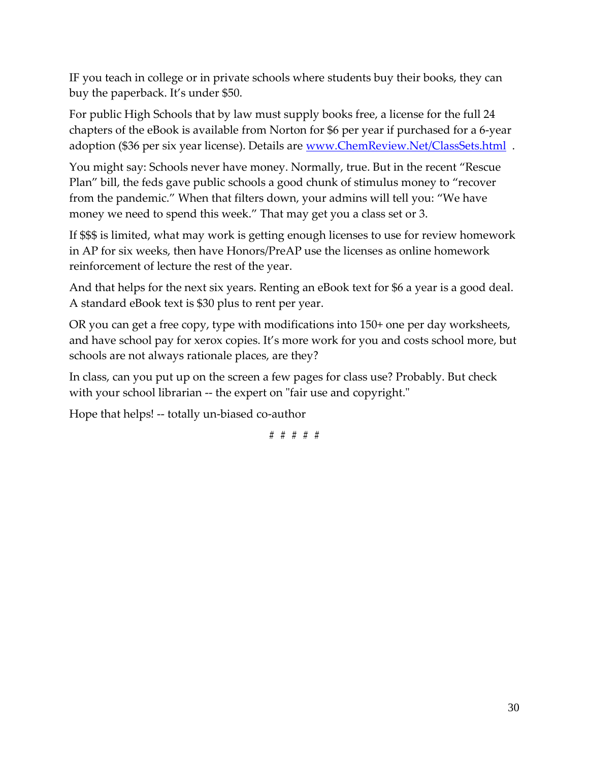IF you teach in college or in private schools where students buy their books, they can buy the paperback. It's under \$50.

For public High Schools that by law must supply books free, a license for the full 24 chapters of the eBook is available from Norton for \$6 per year if purchased for a 6-year adoption (\$36 per six year license). Details are [www.ChemReview.Net/ClassSets.html](http://www.chemreview.net/ClassSets.html) .

You might say: Schools never have money. Normally, true. But in the recent "Rescue Plan" bill, the feds gave public schools a good chunk of stimulus money to "recover from the pandemic." When that filters down, your admins will tell you: "We have money we need to spend this week." That may get you a class set or 3.

If \$\$\$ is limited, what may work is getting enough licenses to use for review homework in AP for six weeks, then have Honors/PreAP use the licenses as online homework reinforcement of lecture the rest of the year.

And that helps for the next six years. Renting an eBook text for \$6 a year is a good deal. A standard eBook text is \$30 plus to rent per year.

OR you can get a free copy, type with modifications into 150+ one per day worksheets, and have school pay for xerox copies. It's more work for you and costs school more, but schools are not always rationale places, are they?

In class, can you put up on the screen a few pages for class use? Probably. But check with your school librarian -- the expert on "fair use and copyright."

Hope that helps! -- totally un-biased co-author